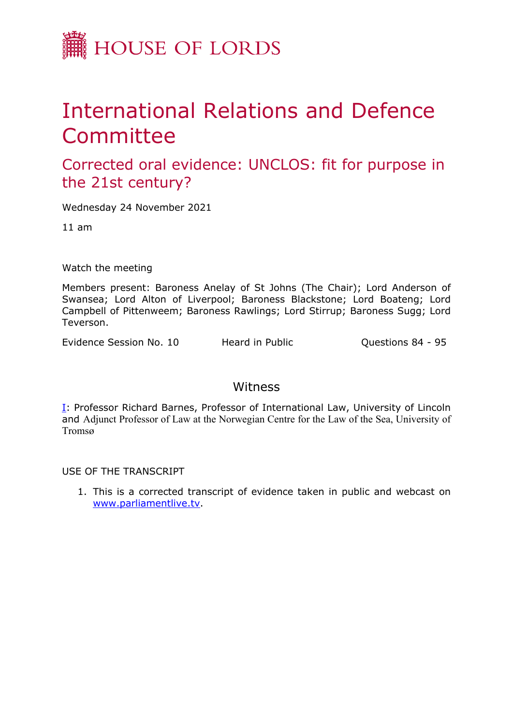

## International Relations and Defence **Committee**

Corrected oral evidence: UNCLOS: fit for purpose in the 21st century?

Wednesday 24 November 2021

11 am

Watch the meeting

Members present: Baroness Anelay of St Johns (The Chair); Lord Anderson of Swansea; Lord Alton of Liverpool; Baroness Blackstone; Lord Boateng; Lord Campbell of Pittenweem; Baroness Rawlings; Lord Stirrup; Baroness Sugg; Lord Teverson.

Evidence Session No. 10 Heard in Public Cuestions 84 - 95

## Witness

[I:](#page-1-0) Professor Richard Barnes, Professor of International Law, University of Lincoln and Adjunct Professor of Law at the Norwegian Centre for the Law of the Sea, University of Tromsø

USE OF THE TRANSCRIPT

1. This is a corrected transcript of evidence taken in public and webcast on [www.parliamentlive.tv](http://www.parliamentlive.tv/).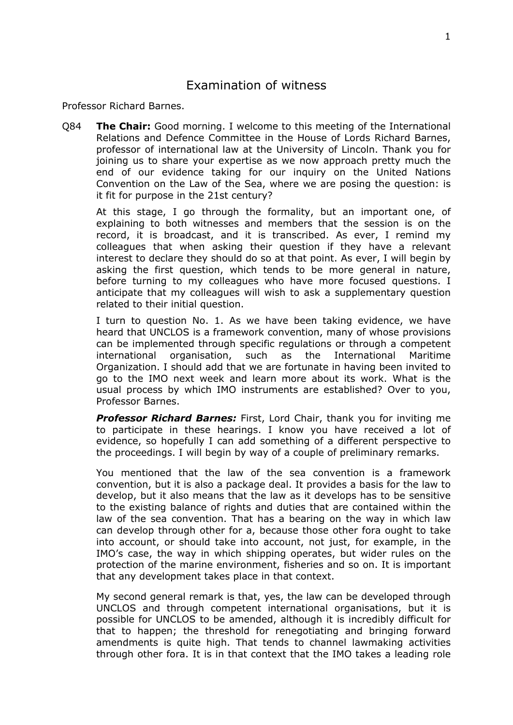## <span id="page-1-0"></span>Examination of witness

Professor Richard Barnes.

Q84 **The Chair:** Good morning. I welcome to this meeting of the International Relations and Defence Committee in the House of Lords Richard Barnes, professor of international law at the University of Lincoln. Thank you for joining us to share your expertise as we now approach pretty much the end of our evidence taking for our inquiry on the United Nations Convention on the Law of the Sea, where we are posing the question: is it fit for purpose in the 21st century?

At this stage, I go through the formality, but an important one, of explaining to both witnesses and members that the session is on the record, it is broadcast, and it is transcribed. As ever, I remind my colleagues that when asking their question if they have a relevant interest to declare they should do so at that point. As ever, I will begin by asking the first question, which tends to be more general in nature, before turning to my colleagues who have more focused questions. I anticipate that my colleagues will wish to ask a supplementary question related to their initial question.

I turn to question No. 1. As we have been taking evidence, we have heard that UNCLOS is a framework convention, many of whose provisions can be implemented through specific regulations or through a competent international organisation, such as the International Maritime Organization. I should add that we are fortunate in having been invited to go to the IMO next week and learn more about its work. What is the usual process by which IMO instruments are established? Over to you, Professor Barnes.

*Professor Richard Barnes:* First, Lord Chair, thank you for inviting me to participate in these hearings. I know you have received a lot of evidence, so hopefully I can add something of a different perspective to the proceedings. I will begin by way of a couple of preliminary remarks.

You mentioned that the law of the sea convention is a framework convention, but it is also a package deal. It provides a basis for the law to develop, but it also means that the law as it develops has to be sensitive to the existing balance of rights and duties that are contained within the law of the sea convention. That has a bearing on the way in which law can develop through other for a, because those other fora ought to take into account, or should take into account, not just, for example, in the IMO's case, the way in which shipping operates, but wider rules on the protection of the marine environment, fisheries and so on. It is important that any development takes place in that context.

My second general remark is that, yes, the law can be developed through UNCLOS and through competent international organisations, but it is possible for UNCLOS to be amended, although it is incredibly difficult for that to happen; the threshold for renegotiating and bringing forward amendments is quite high. That tends to channel lawmaking activities through other fora. It is in that context that the IMO takes a leading role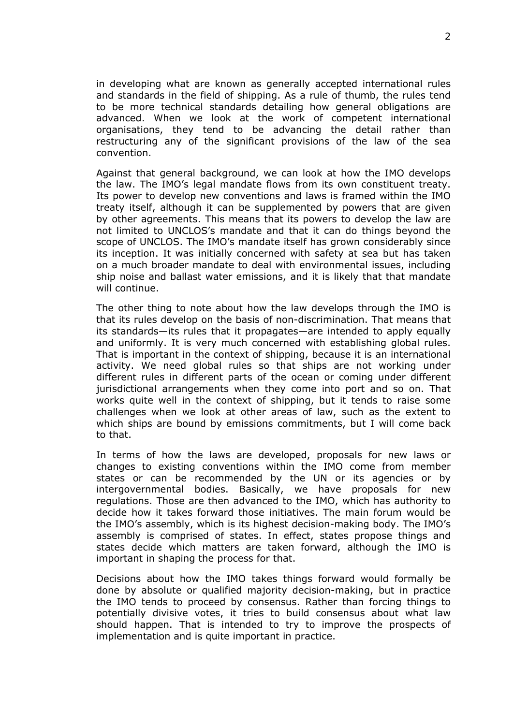in developing what are known as generally accepted international rules and standards in the field of shipping. As a rule of thumb, the rules tend to be more technical standards detailing how general obligations are advanced. When we look at the work of competent international organisations, they tend to be advancing the detail rather than restructuring any of the significant provisions of the law of the sea convention.

Against that general background, we can look at how the IMO develops the law. The IMO's legal mandate flows from its own constituent treaty. Its power to develop new conventions and laws is framed within the IMO treaty itself, although it can be supplemented by powers that are given by other agreements. This means that its powers to develop the law are not limited to UNCLOS's mandate and that it can do things beyond the scope of UNCLOS. The IMO's mandate itself has grown considerably since its inception. It was initially concerned with safety at sea but has taken on a much broader mandate to deal with environmental issues, including ship noise and ballast water emissions, and it is likely that that mandate will continue.

The other thing to note about how the law develops through the IMO is that its rules develop on the basis of non-discrimination. That means that its standards—its rules that it propagates—are intended to apply equally and uniformly. It is very much concerned with establishing global rules. That is important in the context of shipping, because it is an international activity. We need global rules so that ships are not working under different rules in different parts of the ocean or coming under different jurisdictional arrangements when they come into port and so on. That works quite well in the context of shipping, but it tends to raise some challenges when we look at other areas of law, such as the extent to which ships are bound by emissions commitments, but I will come back to that.

In terms of how the laws are developed, proposals for new laws or changes to existing conventions within the IMO come from member states or can be recommended by the UN or its agencies or by intergovernmental bodies. Basically, we have proposals for new regulations. Those are then advanced to the IMO, which has authority to decide how it takes forward those initiatives. The main forum would be the IMO's assembly, which is its highest decision-making body. The IMO's assembly is comprised of states. In effect, states propose things and states decide which matters are taken forward, although the IMO is important in shaping the process for that.

Decisions about how the IMO takes things forward would formally be done by absolute or qualified majority decision-making, but in practice the IMO tends to proceed by consensus. Rather than forcing things to potentially divisive votes, it tries to build consensus about what law should happen. That is intended to try to improve the prospects of implementation and is quite important in practice.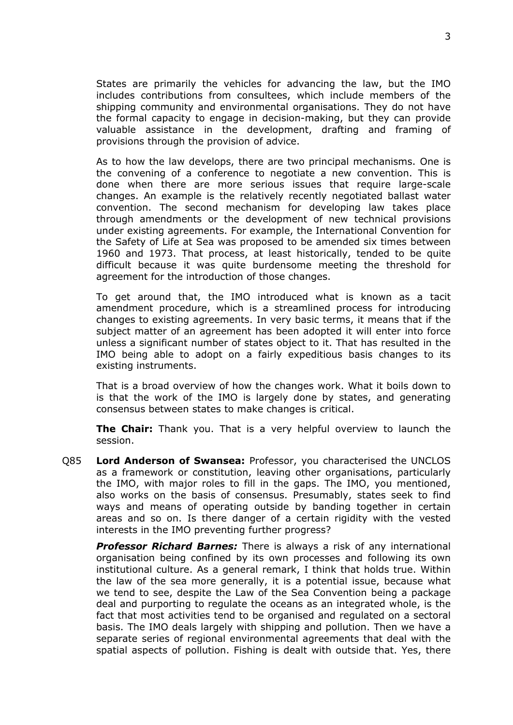States are primarily the vehicles for advancing the law, but the IMO includes contributions from consultees, which include members of the shipping community and environmental organisations. They do not have the formal capacity to engage in decision-making, but they can provide valuable assistance in the development, drafting and framing of provisions through the provision of advice.

As to how the law develops, there are two principal mechanisms. One is the convening of a conference to negotiate a new convention. This is done when there are more serious issues that require large-scale changes. An example is the relatively recently negotiated ballast water convention. The second mechanism for developing law takes place through amendments or the development of new technical provisions under existing agreements. For example, the International Convention for the Safety of Life at Sea was proposed to be amended six times between 1960 and 1973. That process, at least historically, tended to be quite difficult because it was quite burdensome meeting the threshold for agreement for the introduction of those changes.

To get around that, the IMO introduced what is known as a tacit amendment procedure, which is a streamlined process for introducing changes to existing agreements. In very basic terms, it means that if the subject matter of an agreement has been adopted it will enter into force unless a significant number of states object to it. That has resulted in the IMO being able to adopt on a fairly expeditious basis changes to its existing instruments.

That is a broad overview of how the changes work. What it boils down to is that the work of the IMO is largely done by states, and generating consensus between states to make changes is critical.

**The Chair:** Thank you. That is a very helpful overview to launch the session.

Q85 **Lord Anderson of Swansea:** Professor, you characterised the UNCLOS as a framework or constitution, leaving other organisations, particularly the IMO, with major roles to fill in the gaps. The IMO, you mentioned, also works on the basis of consensus. Presumably, states seek to find ways and means of operating outside by banding together in certain areas and so on. Is there danger of a certain rigidity with the vested interests in the IMO preventing further progress?

*Professor Richard Barnes:* There is always a risk of any international organisation being confined by its own processes and following its own institutional culture. As a general remark, I think that holds true. Within the law of the sea more generally, it is a potential issue, because what we tend to see, despite the Law of the Sea Convention being a package deal and purporting to regulate the oceans as an integrated whole, is the fact that most activities tend to be organised and regulated on a sectoral basis. The IMO deals largely with shipping and pollution. Then we have a separate series of regional environmental agreements that deal with the spatial aspects of pollution. Fishing is dealt with outside that. Yes, there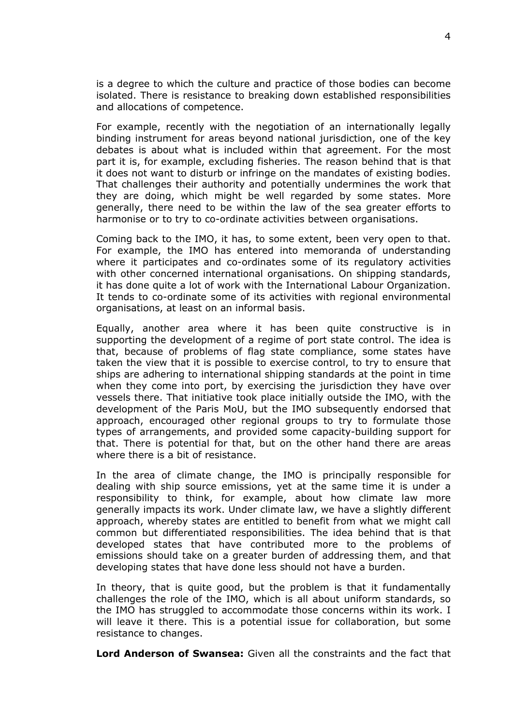is a degree to which the culture and practice of those bodies can become isolated. There is resistance to breaking down established responsibilities and allocations of competence.

For example, recently with the negotiation of an internationally legally binding instrument for areas beyond national jurisdiction, one of the key debates is about what is included within that agreement. For the most part it is, for example, excluding fisheries. The reason behind that is that it does not want to disturb or infringe on the mandates of existing bodies. That challenges their authority and potentially undermines the work that they are doing, which might be well regarded by some states. More generally, there need to be within the law of the sea greater efforts to harmonise or to try to co-ordinate activities between organisations.

Coming back to the IMO, it has, to some extent, been very open to that. For example, the IMO has entered into memoranda of understanding where it participates and co-ordinates some of its regulatory activities with other concerned international organisations. On shipping standards, it has done quite a lot of work with the International Labour Organization. It tends to co-ordinate some of its activities with regional environmental organisations, at least on an informal basis.

Equally, another area where it has been quite constructive is in supporting the development of a regime of port state control. The idea is that, because of problems of flag state compliance, some states have taken the view that it is possible to exercise control, to try to ensure that ships are adhering to international shipping standards at the point in time when they come into port, by exercising the jurisdiction they have over vessels there. That initiative took place initially outside the IMO, with the development of the Paris MoU, but the IMO subsequently endorsed that approach, encouraged other regional groups to try to formulate those types of arrangements, and provided some capacity-building support for that. There is potential for that, but on the other hand there are areas where there is a bit of resistance.

In the area of climate change, the IMO is principally responsible for dealing with ship source emissions, yet at the same time it is under a responsibility to think, for example, about how climate law more generally impacts its work. Under climate law, we have a slightly different approach, whereby states are entitled to benefit from what we might call common but differentiated responsibilities. The idea behind that is that developed states that have contributed more to the problems of emissions should take on a greater burden of addressing them, and that developing states that have done less should not have a burden.

In theory, that is quite good, but the problem is that it fundamentally challenges the role of the IMO, which is all about uniform standards, so the IMO has struggled to accommodate those concerns within its work. I will leave it there. This is a potential issue for collaboration, but some resistance to changes.

**Lord Anderson of Swansea:** Given all the constraints and the fact that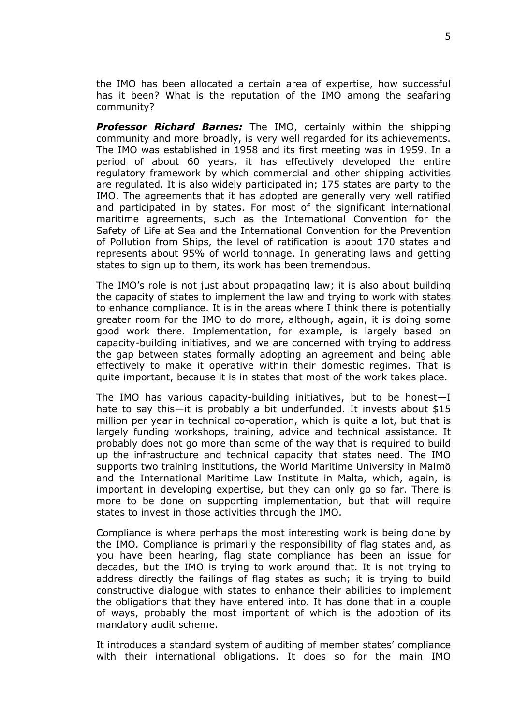the IMO has been allocated a certain area of expertise, how successful has it been? What is the reputation of the IMO among the seafaring community?

*Professor Richard Barnes:* The IMO, certainly within the shipping community and more broadly, is very well regarded for its achievements. The IMO was established in 1958 and its first meeting was in 1959. In a period of about 60 years, it has effectively developed the entire regulatory framework by which commercial and other shipping activities are regulated. It is also widely participated in; 175 states are party to the IMO. The agreements that it has adopted are generally very well ratified and participated in by states. For most of the significant international maritime agreements, such as the International Convention for the Safety of Life at Sea and the International Convention for the Prevention of Pollution from Ships, the level of ratification is about 170 states and represents about 95% of world tonnage. In generating laws and getting states to sign up to them, its work has been tremendous.

The IMO's role is not just about propagating law; it is also about building the capacity of states to implement the law and trying to work with states to enhance compliance. It is in the areas where I think there is potentially greater room for the IMO to do more, although, again, it is doing some good work there. Implementation, for example, is largely based on capacity-building initiatives, and we are concerned with trying to address the gap between states formally adopting an agreement and being able effectively to make it operative within their domestic regimes. That is quite important, because it is in states that most of the work takes place.

The IMO has various capacity-building initiatives, but to be honest—I hate to say this—it is probably a bit underfunded. It invests about \$15 million per year in technical co-operation, which is quite a lot, but that is largely funding workshops, training, advice and technical assistance. It probably does not go more than some of the way that is required to build up the infrastructure and technical capacity that states need. The IMO supports two training institutions, the World Maritime University in Malmö and the International Maritime Law Institute in Malta, which, again, is important in developing expertise, but they can only go so far. There is more to be done on supporting implementation, but that will require states to invest in those activities through the IMO.

Compliance is where perhaps the most interesting work is being done by the IMO. Compliance is primarily the responsibility of flag states and, as you have been hearing, flag state compliance has been an issue for decades, but the IMO is trying to work around that. It is not trying to address directly the failings of flag states as such; it is trying to build constructive dialogue with states to enhance their abilities to implement the obligations that they have entered into. It has done that in a couple of ways, probably the most important of which is the adoption of its mandatory audit scheme.

It introduces a standard system of auditing of member states' compliance with their international obligations. It does so for the main IMO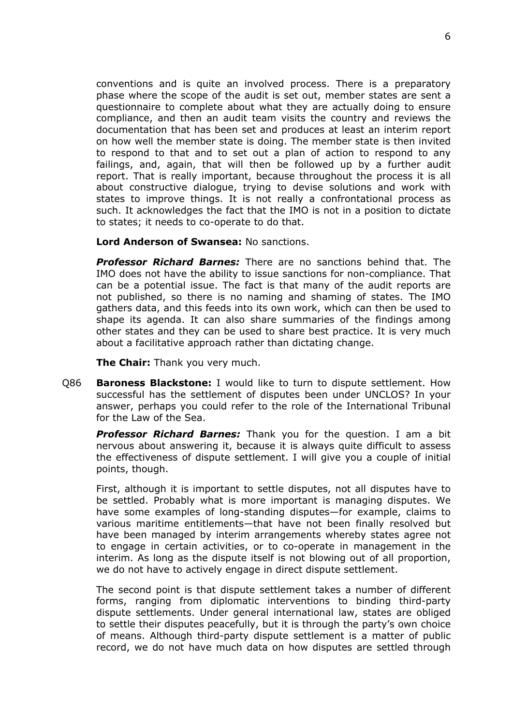conventions and is quite an involved process. There is a preparatory phase where the scope of the audit is set out, member states are sent a questionnaire to complete about what they are actually doing to ensure compliance, and then an audit team visits the country and reviews the documentation that has been set and produces at least an interim report on how well the member state is doing. The member state is then invited to respond to that and to set out a plan of action to respond to any failings, and, again, that will then be followed up by a further audit report. That is really important, because throughout the process it is all about constructive dialogue, trying to devise solutions and work with states to improve things. It is not really a confrontational process as such. It acknowledges the fact that the IMO is not in a position to dictate to states; it needs to co-operate to do that.

**Lord Anderson of Swansea:** No sanctions.

*Professor Richard Barnes:* There are no sanctions behind that. The IMO does not have the ability to issue sanctions for non-compliance. That can be a potential issue. The fact is that many of the audit reports are not published, so there is no naming and shaming of states. The IMO gathers data, and this feeds into its own work, which can then be used to shape its agenda. It can also share summaries of the findings among other states and they can be used to share best practice. It is very much about a facilitative approach rather than dictating change.

**The Chair:** Thank you very much.

Q86 **Baroness Blackstone:** I would like to turn to dispute settlement. How successful has the settlement of disputes been under UNCLOS? In your answer, perhaps you could refer to the role of the International Tribunal for the Law of the Sea.

*Professor Richard Barnes:* Thank you for the question. I am a bit nervous about answering it, because it is always quite difficult to assess the effectiveness of dispute settlement. I will give you a couple of initial points, though.

First, although it is important to settle disputes, not all disputes have to be settled. Probably what is more important is managing disputes. We have some examples of long-standing disputes—for example, claims to various maritime entitlements—that have not been finally resolved but have been managed by interim arrangements whereby states agree not to engage in certain activities, or to co-operate in management in the interim. As long as the dispute itself is not blowing out of all proportion, we do not have to actively engage in direct dispute settlement.

The second point is that dispute settlement takes a number of different forms, ranging from diplomatic interventions to binding third-party dispute settlements. Under general international law, states are obliged to settle their disputes peacefully, but it is through the party's own choice of means. Although third-party dispute settlement is a matter of public record, we do not have much data on how disputes are settled through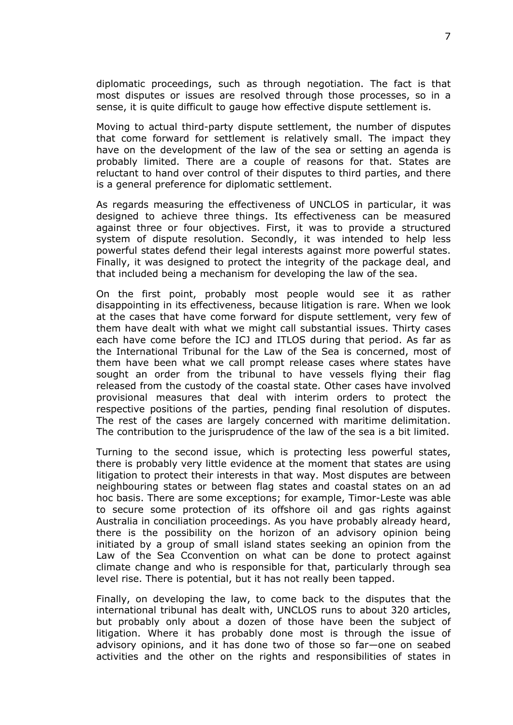diplomatic proceedings, such as through negotiation. The fact is that most disputes or issues are resolved through those processes, so in a sense, it is quite difficult to gauge how effective dispute settlement is.

Moving to actual third-party dispute settlement, the number of disputes that come forward for settlement is relatively small. The impact they have on the development of the law of the sea or setting an agenda is probably limited. There are a couple of reasons for that. States are reluctant to hand over control of their disputes to third parties, and there is a general preference for diplomatic settlement.

As regards measuring the effectiveness of UNCLOS in particular, it was designed to achieve three things. Its effectiveness can be measured against three or four objectives. First, it was to provide a structured system of dispute resolution. Secondly, it was intended to help less powerful states defend their legal interests against more powerful states. Finally, it was designed to protect the integrity of the package deal, and that included being a mechanism for developing the law of the sea.

On the first point, probably most people would see it as rather disappointing in its effectiveness, because litigation is rare. When we look at the cases that have come forward for dispute settlement, very few of them have dealt with what we might call substantial issues. Thirty cases each have come before the ICJ and ITLOS during that period. As far as the International Tribunal for the Law of the Sea is concerned, most of them have been what we call prompt release cases where states have sought an order from the tribunal to have vessels flying their flag released from the custody of the coastal state. Other cases have involved provisional measures that deal with interim orders to protect the respective positions of the parties, pending final resolution of disputes. The rest of the cases are largely concerned with maritime delimitation. The contribution to the jurisprudence of the law of the sea is a bit limited.

Turning to the second issue, which is protecting less powerful states, there is probably very little evidence at the moment that states are using litigation to protect their interests in that way. Most disputes are between neighbouring states or between flag states and coastal states on an ad hoc basis. There are some exceptions; for example, Timor-Leste was able to secure some protection of its offshore oil and gas rights against Australia in conciliation proceedings. As you have probably already heard, there is the possibility on the horizon of an advisory opinion being initiated by a group of small island states seeking an opinion from the Law of the Sea Cconvention on what can be done to protect against climate change and who is responsible for that, particularly through sea level rise. There is potential, but it has not really been tapped.

Finally, on developing the law, to come back to the disputes that the international tribunal has dealt with, UNCLOS runs to about 320 articles, but probably only about a dozen of those have been the subject of litigation. Where it has probably done most is through the issue of advisory opinions, and it has done two of those so far—one on seabed activities and the other on the rights and responsibilities of states in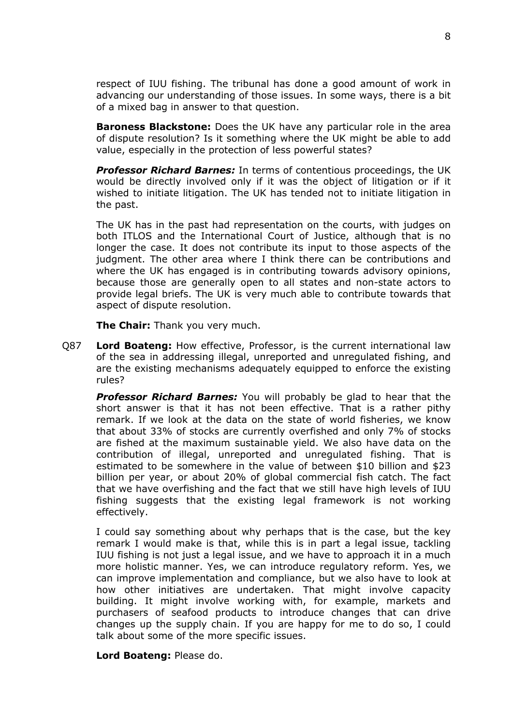respect of IUU fishing. The tribunal has done a good amount of work in advancing our understanding of those issues. In some ways, there is a bit of a mixed bag in answer to that question.

**Baroness Blackstone:** Does the UK have any particular role in the area of dispute resolution? Is it something where the UK might be able to add value, especially in the protection of less powerful states?

*Professor Richard Barnes:* In terms of contentious proceedings, the UK would be directly involved only if it was the object of litigation or if it wished to initiate litigation. The UK has tended not to initiate litigation in the past.

The UK has in the past had representation on the courts, with judges on both ITLOS and the International Court of Justice, although that is no longer the case. It does not contribute its input to those aspects of the judgment. The other area where I think there can be contributions and where the UK has engaged is in contributing towards advisory opinions, because those are generally open to all states and non-state actors to provide legal briefs. The UK is very much able to contribute towards that aspect of dispute resolution.

**The Chair:** Thank you very much.

Q87 **Lord Boateng:** How effective, Professor, is the current international law of the sea in addressing illegal, unreported and unregulated fishing, and are the existing mechanisms adequately equipped to enforce the existing rules?

*Professor Richard Barnes:* You will probably be glad to hear that the short answer is that it has not been effective. That is a rather pithy remark. If we look at the data on the state of world fisheries, we know that about 33% of stocks are currently overfished and only 7% of stocks are fished at the maximum sustainable yield. We also have data on the contribution of illegal, unreported and unregulated fishing. That is estimated to be somewhere in the value of between \$10 billion and \$23 billion per year, or about 20% of global commercial fish catch. The fact that we have overfishing and the fact that we still have high levels of IUU fishing suggests that the existing legal framework is not working effectively.

I could say something about why perhaps that is the case, but the key remark I would make is that, while this is in part a legal issue, tackling IUU fishing is not just a legal issue, and we have to approach it in a much more holistic manner. Yes, we can introduce regulatory reform. Yes, we can improve implementation and compliance, but we also have to look at how other initiatives are undertaken. That might involve capacity building. It might involve working with, for example, markets and purchasers of seafood products to introduce changes that can drive changes up the supply chain. If you are happy for me to do so, I could talk about some of the more specific issues.

**Lord Boateng:** Please do.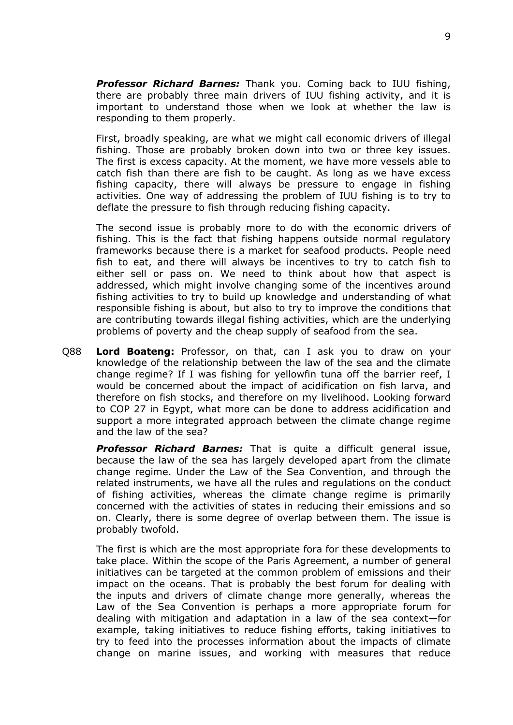*Professor Richard Barnes:* Thank you. Coming back to IUU fishing, there are probably three main drivers of IUU fishing activity, and it is important to understand those when we look at whether the law is responding to them properly.

First, broadly speaking, are what we might call economic drivers of illegal fishing. Those are probably broken down into two or three key issues. The first is excess capacity. At the moment, we have more vessels able to catch fish than there are fish to be caught. As long as we have excess fishing capacity, there will always be pressure to engage in fishing activities. One way of addressing the problem of IUU fishing is to try to deflate the pressure to fish through reducing fishing capacity.

The second issue is probably more to do with the economic drivers of fishing. This is the fact that fishing happens outside normal regulatory frameworks because there is a market for seafood products. People need fish to eat, and there will always be incentives to try to catch fish to either sell or pass on. We need to think about how that aspect is addressed, which might involve changing some of the incentives around fishing activities to try to build up knowledge and understanding of what responsible fishing is about, but also to try to improve the conditions that are contributing towards illegal fishing activities, which are the underlying problems of poverty and the cheap supply of seafood from the sea.

Q88 **Lord Boateng:** Professor, on that, can I ask you to draw on your knowledge of the relationship between the law of the sea and the climate change regime? If I was fishing for yellowfin tuna off the barrier reef, I would be concerned about the impact of acidification on fish larva, and therefore on fish stocks, and therefore on my livelihood. Looking forward to COP 27 in Egypt, what more can be done to address acidification and support a more integrated approach between the climate change regime and the law of the sea?

*Professor Richard Barnes:* That is quite a difficult general issue, because the law of the sea has largely developed apart from the climate change regime. Under the Law of the Sea Convention, and through the related instruments, we have all the rules and regulations on the conduct of fishing activities, whereas the climate change regime is primarily concerned with the activities of states in reducing their emissions and so on. Clearly, there is some degree of overlap between them. The issue is probably twofold.

The first is which are the most appropriate fora for these developments to take place. Within the scope of the Paris Agreement, a number of general initiatives can be targeted at the common problem of emissions and their impact on the oceans. That is probably the best forum for dealing with the inputs and drivers of climate change more generally, whereas the Law of the Sea Convention is perhaps a more appropriate forum for dealing with mitigation and adaptation in a law of the sea context—for example, taking initiatives to reduce fishing efforts, taking initiatives to try to feed into the processes information about the impacts of climate change on marine issues, and working with measures that reduce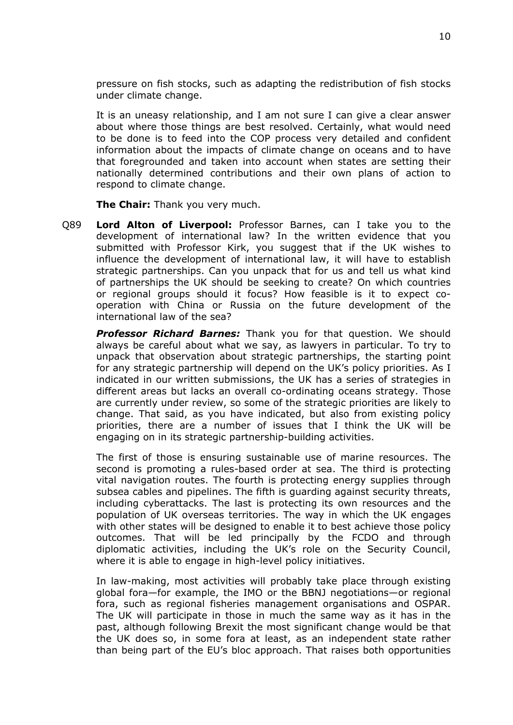pressure on fish stocks, such as adapting the redistribution of fish stocks under climate change.

It is an uneasy relationship, and I am not sure I can give a clear answer about where those things are best resolved. Certainly, what would need to be done is to feed into the COP process very detailed and confident information about the impacts of climate change on oceans and to have that foregrounded and taken into account when states are setting their nationally determined contributions and their own plans of action to respond to climate change.

**The Chair:** Thank you very much.

Q89 **Lord Alton of Liverpool:** Professor Barnes, can I take you to the development of international law? In the written evidence that you submitted with Professor Kirk, you suggest that if the UK wishes to influence the development of international law, it will have to establish strategic partnerships. Can you unpack that for us and tell us what kind of partnerships the UK should be seeking to create? On which countries or regional groups should it focus? How feasible is it to expect cooperation with China or Russia on the future development of the international law of the sea?

*Professor Richard Barnes:* Thank you for that question. We should always be careful about what we say, as lawyers in particular. To try to unpack that observation about strategic partnerships, the starting point for any strategic partnership will depend on the UK's policy priorities. As I indicated in our written submissions, the UK has a series of strategies in different areas but lacks an overall co-ordinating oceans strategy. Those are currently under review, so some of the strategic priorities are likely to change. That said, as you have indicated, but also from existing policy priorities, there are a number of issues that I think the UK will be engaging on in its strategic partnership-building activities.

The first of those is ensuring sustainable use of marine resources. The second is promoting a rules-based order at sea. The third is protecting vital navigation routes. The fourth is protecting energy supplies through subsea cables and pipelines. The fifth is guarding against security threats, including cyberattacks. The last is protecting its own resources and the population of UK overseas territories. The way in which the UK engages with other states will be designed to enable it to best achieve those policy outcomes. That will be led principally by the FCDO and through diplomatic activities, including the UK's role on the Security Council, where it is able to engage in high-level policy initiatives.

In law-making, most activities will probably take place through existing global fora—for example, the IMO or the BBNJ negotiations—or regional fora, such as regional fisheries management organisations and OSPAR. The UK will participate in those in much the same way as it has in the past, although following Brexit the most significant change would be that the UK does so, in some fora at least, as an independent state rather than being part of the EU's bloc approach. That raises both opportunities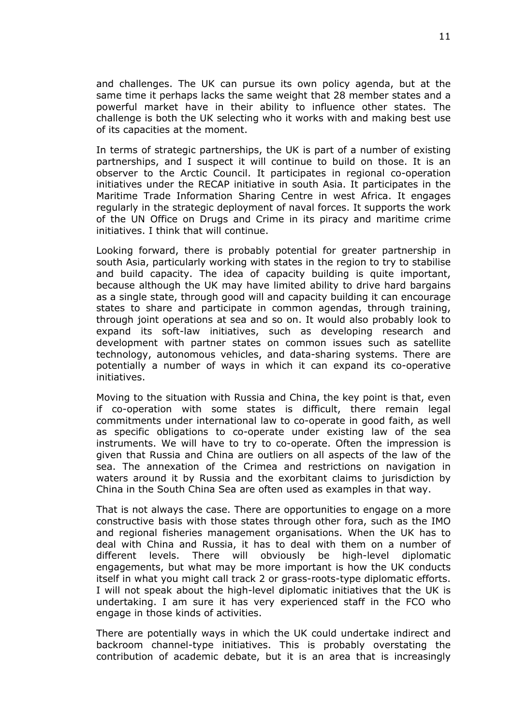and challenges. The UK can pursue its own policy agenda, but at the same time it perhaps lacks the same weight that 28 member states and a powerful market have in their ability to influence other states. The challenge is both the UK selecting who it works with and making best use of its capacities at the moment.

In terms of strategic partnerships, the UK is part of a number of existing partnerships, and I suspect it will continue to build on those. It is an observer to the Arctic Council. It participates in regional co-operation initiatives under the RECAP initiative in south Asia. It participates in the Maritime Trade Information Sharing Centre in west Africa. It engages regularly in the strategic deployment of naval forces. It supports the work of the UN Office on Drugs and Crime in its piracy and maritime crime initiatives. I think that will continue.

Looking forward, there is probably potential for greater partnership in south Asia, particularly working with states in the region to try to stabilise and build capacity. The idea of capacity building is quite important, because although the UK may have limited ability to drive hard bargains as a single state, through good will and capacity building it can encourage states to share and participate in common agendas, through training, through joint operations at sea and so on. It would also probably look to expand its soft-law initiatives, such as developing research and development with partner states on common issues such as satellite technology, autonomous vehicles, and data-sharing systems. There are potentially a number of ways in which it can expand its co-operative initiatives.

Moving to the situation with Russia and China, the key point is that, even if co-operation with some states is difficult, there remain legal commitments under international law to co-operate in good faith, as well as specific obligations to co-operate under existing law of the sea instruments. We will have to try to co-operate. Often the impression is given that Russia and China are outliers on all aspects of the law of the sea. The annexation of the Crimea and restrictions on navigation in waters around it by Russia and the exorbitant claims to jurisdiction by China in the South China Sea are often used as examples in that way.

That is not always the case. There are opportunities to engage on a more constructive basis with those states through other fora, such as the IMO and regional fisheries management organisations. When the UK has to deal with China and Russia, it has to deal with them on a number of different levels. There will obviously be high-level diplomatic engagements, but what may be more important is how the UK conducts itself in what you might call track 2 or grass-roots-type diplomatic efforts. I will not speak about the high-level diplomatic initiatives that the UK is undertaking. I am sure it has very experienced staff in the FCO who engage in those kinds of activities.

There are potentially ways in which the UK could undertake indirect and backroom channel-type initiatives. This is probably overstating the contribution of academic debate, but it is an area that is increasingly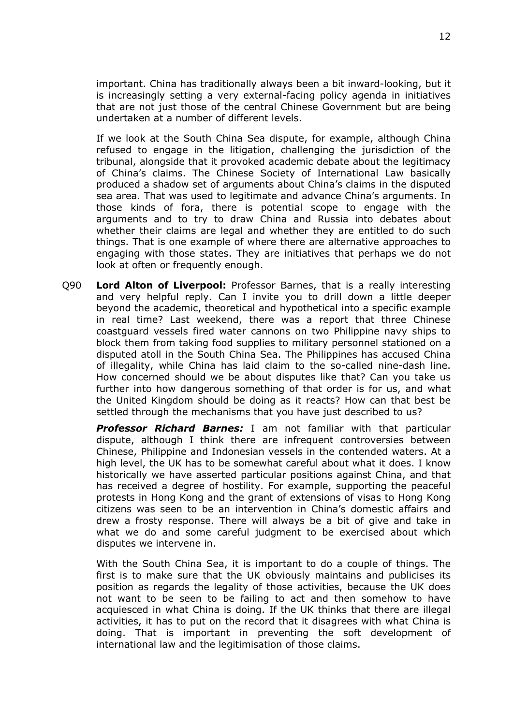important. China has traditionally always been a bit inward-looking, but it is increasingly setting a very external-facing policy agenda in initiatives that are not just those of the central Chinese Government but are being undertaken at a number of different levels.

If we look at the South China Sea dispute, for example, although China refused to engage in the litigation, challenging the jurisdiction of the tribunal, alongside that it provoked academic debate about the legitimacy of China's claims. The Chinese Society of International Law basically produced a shadow set of arguments about China's claims in the disputed sea area. That was used to legitimate and advance China's arguments. In those kinds of fora, there is potential scope to engage with the arguments and to try to draw China and Russia into debates about whether their claims are legal and whether they are entitled to do such things. That is one example of where there are alternative approaches to engaging with those states. They are initiatives that perhaps we do not look at often or frequently enough.

Q90 **Lord Alton of Liverpool:** Professor Barnes, that is a really interesting and very helpful reply. Can I invite you to drill down a little deeper beyond the academic, theoretical and hypothetical into a specific example in real time? Last weekend, there was a report that three Chinese coastguard vessels fired water cannons on two Philippine navy ships to block them from taking food supplies to military personnel stationed on a disputed atoll in the South China Sea. The Philippines has accused China of illegality, while China has laid claim to the so-called nine-dash line. How concerned should we be about disputes like that? Can you take us further into how dangerous something of that order is for us, and what the United Kingdom should be doing as it reacts? How can that best be settled through the mechanisms that you have just described to us?

*Professor Richard Barnes:* I am not familiar with that particular dispute, although I think there are infrequent controversies between Chinese, Philippine and Indonesian vessels in the contended waters. At a high level, the UK has to be somewhat careful about what it does. I know historically we have asserted particular positions against China, and that has received a degree of hostility. For example, supporting the peaceful protests in Hong Kong and the grant of extensions of visas to Hong Kong citizens was seen to be an intervention in China's domestic affairs and drew a frosty response. There will always be a bit of give and take in what we do and some careful judgment to be exercised about which disputes we intervene in.

With the South China Sea, it is important to do a couple of things. The first is to make sure that the UK obviously maintains and publicises its position as regards the legality of those activities, because the UK does not want to be seen to be failing to act and then somehow to have acquiesced in what China is doing. If the UK thinks that there are illegal activities, it has to put on the record that it disagrees with what China is doing. That is important in preventing the soft development of international law and the legitimisation of those claims.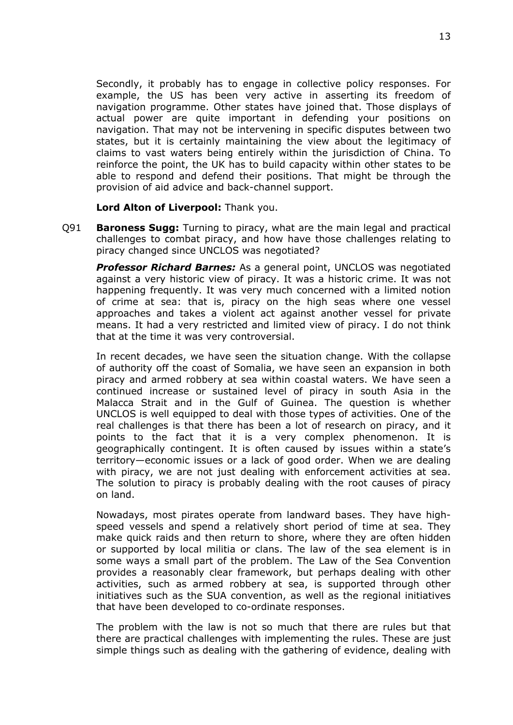Secondly, it probably has to engage in collective policy responses. For example, the US has been very active in asserting its freedom of navigation programme. Other states have joined that. Those displays of actual power are quite important in defending your positions on navigation. That may not be intervening in specific disputes between two states, but it is certainly maintaining the view about the legitimacy of claims to vast waters being entirely within the jurisdiction of China. To reinforce the point, the UK has to build capacity within other states to be able to respond and defend their positions. That might be through the provision of aid advice and back-channel support.

**Lord Alton of Liverpool:** Thank you.

Q91 **Baroness Sugg:** Turning to piracy, what are the main legal and practical challenges to combat piracy, and how have those challenges relating to piracy changed since UNCLOS was negotiated?

*Professor Richard Barnes:* As a general point, UNCLOS was negotiated against a very historic view of piracy. It was a historic crime. It was not happening frequently. It was very much concerned with a limited notion of crime at sea: that is, piracy on the high seas where one vessel approaches and takes a violent act against another vessel for private means. It had a very restricted and limited view of piracy. I do not think that at the time it was very controversial.

In recent decades, we have seen the situation change. With the collapse of authority off the coast of Somalia, we have seen an expansion in both piracy and armed robbery at sea within coastal waters. We have seen a continued increase or sustained level of piracy in south Asia in the Malacca Strait and in the Gulf of Guinea. The question is whether UNCLOS is well equipped to deal with those types of activities. One of the real challenges is that there has been a lot of research on piracy, and it points to the fact that it is a very complex phenomenon. It is geographically contingent. It is often caused by issues within a state's territory—economic issues or a lack of good order. When we are dealing with piracy, we are not just dealing with enforcement activities at sea. The solution to piracy is probably dealing with the root causes of piracy on land.

Nowadays, most pirates operate from landward bases. They have highspeed vessels and spend a relatively short period of time at sea. They make quick raids and then return to shore, where they are often hidden or supported by local militia or clans. The law of the sea element is in some ways a small part of the problem. The Law of the Sea Convention provides a reasonably clear framework, but perhaps dealing with other activities, such as armed robbery at sea, is supported through other initiatives such as the SUA convention, as well as the regional initiatives that have been developed to co-ordinate responses.

The problem with the law is not so much that there are rules but that there are practical challenges with implementing the rules. These are just simple things such as dealing with the gathering of evidence, dealing with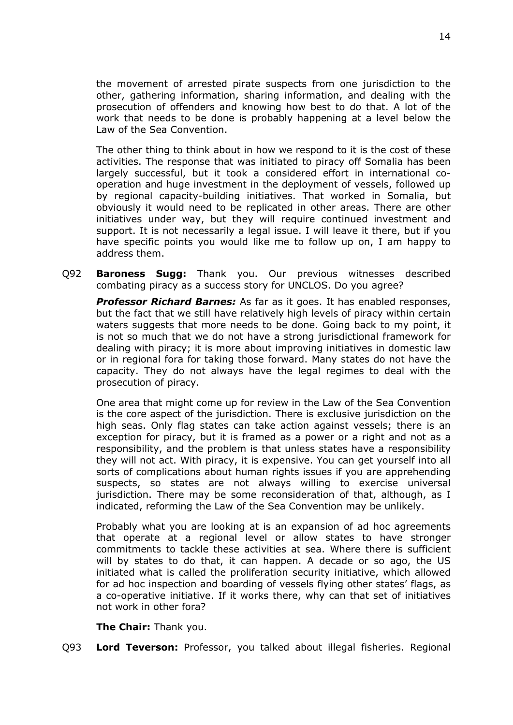the movement of arrested pirate suspects from one jurisdiction to the other, gathering information, sharing information, and dealing with the prosecution of offenders and knowing how best to do that. A lot of the work that needs to be done is probably happening at a level below the Law of the Sea Convention.

The other thing to think about in how we respond to it is the cost of these activities. The response that was initiated to piracy off Somalia has been largely successful, but it took a considered effort in international cooperation and huge investment in the deployment of vessels, followed up by regional capacity-building initiatives. That worked in Somalia, but obviously it would need to be replicated in other areas. There are other initiatives under way, but they will require continued investment and support. It is not necessarily a legal issue. I will leave it there, but if you have specific points you would like me to follow up on, I am happy to address them.

Q92 **Baroness Sugg:** Thank you. Our previous witnesses described combating piracy as a success story for UNCLOS. Do you agree?

*Professor Richard Barnes:* As far as it goes. It has enabled responses, but the fact that we still have relatively high levels of piracy within certain waters suggests that more needs to be done. Going back to my point, it is not so much that we do not have a strong jurisdictional framework for dealing with piracy; it is more about improving initiatives in domestic law or in regional fora for taking those forward. Many states do not have the capacity. They do not always have the legal regimes to deal with the prosecution of piracy.

One area that might come up for review in the Law of the Sea Convention is the core aspect of the jurisdiction. There is exclusive jurisdiction on the high seas. Only flag states can take action against vessels; there is an exception for piracy, but it is framed as a power or a right and not as a responsibility, and the problem is that unless states have a responsibility they will not act. With piracy, it is expensive. You can get yourself into all sorts of complications about human rights issues if you are apprehending suspects, so states are not always willing to exercise universal jurisdiction. There may be some reconsideration of that, although, as I indicated, reforming the Law of the Sea Convention may be unlikely.

Probably what you are looking at is an expansion of ad hoc agreements that operate at a regional level or allow states to have stronger commitments to tackle these activities at sea. Where there is sufficient will by states to do that, it can happen. A decade or so ago, the US initiated what is called the proliferation security initiative, which allowed for ad hoc inspection and boarding of vessels flying other states' flags, as a co-operative initiative. If it works there, why can that set of initiatives not work in other fora?

**The Chair:** Thank you.

Q93 **Lord Teverson:** Professor, you talked about illegal fisheries. Regional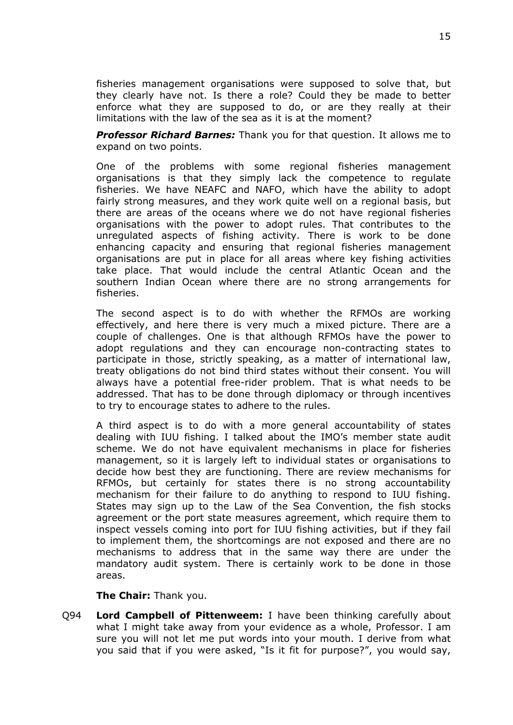fisheries management organisations were supposed to solve that, but they clearly have not. Is there a role? Could they be made to better enforce what they are supposed to do, or are they really at their limitations with the law of the sea as it is at the moment?

*Professor Richard Barnes:* Thank you for that question. It allows me to expand on two points.

One of the problems with some regional fisheries management organisations is that they simply lack the competence to regulate fisheries. We have NEAFC and NAFO, which have the ability to adopt fairly strong measures, and they work quite well on a regional basis, but there are areas of the oceans where we do not have regional fisheries organisations with the power to adopt rules. That contributes to the unregulated aspects of fishing activity. There is work to be done enhancing capacity and ensuring that regional fisheries management organisations are put in place for all areas where key fishing activities take place. That would include the central Atlantic Ocean and the southern Indian Ocean where there are no strong arrangements for fisheries.

The second aspect is to do with whether the RFMOs are working effectively, and here there is very much a mixed picture. There are a couple of challenges. One is that although RFMOs have the power to adopt regulations and they can encourage non-contracting states to participate in those, strictly speaking, as a matter of international law, treaty obligations do not bind third states without their consent. You will always have a potential free-rider problem. That is what needs to be addressed. That has to be done through diplomacy or through incentives to try to encourage states to adhere to the rules.

A third aspect is to do with a more general accountability of states dealing with IUU fishing. I talked about the IMO's member state audit scheme. We do not have equivalent mechanisms in place for fisheries management, so it is largely left to individual states or organisations to decide how best they are functioning. There are review mechanisms for RFMOs, but certainly for states there is no strong accountability mechanism for their failure to do anything to respond to IUU fishing. States may sign up to the Law of the Sea Convention, the fish stocks agreement or the port state measures agreement, which require them to inspect vessels coming into port for IUU fishing activities, but if they fail to implement them, the shortcomings are not exposed and there are no mechanisms to address that in the same way there are under the mandatory audit system. There is certainly work to be done in those areas.

**The Chair:** Thank you.

Q94 **Lord Campbell of Pittenweem:** I have been thinking carefully about what I might take away from your evidence as a whole, Professor. I am sure you will not let me put words into your mouth. I derive from what you said that if you were asked, "Is it fit for purpose?", you would say,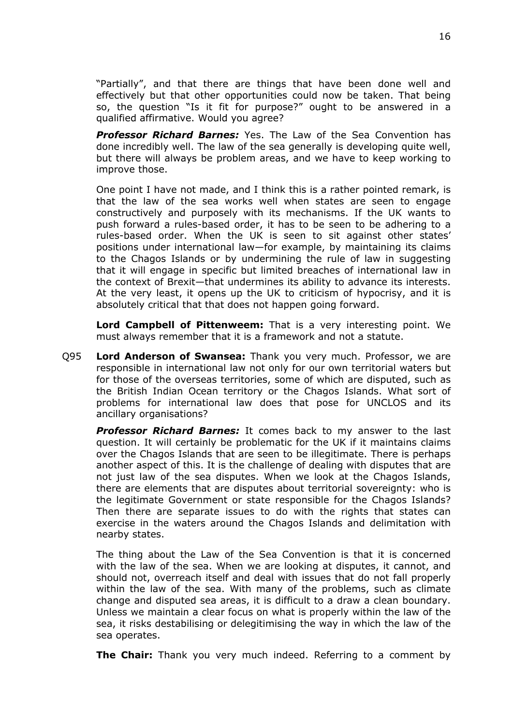"Partially", and that there are things that have been done well and effectively but that other opportunities could now be taken. That being so, the question "Is it fit for purpose?" ought to be answered in a qualified affirmative. Would you agree?

*Professor Richard Barnes:* Yes. The Law of the Sea Convention has done incredibly well. The law of the sea generally is developing quite well, but there will always be problem areas, and we have to keep working to improve those.

One point I have not made, and I think this is a rather pointed remark, is that the law of the sea works well when states are seen to engage constructively and purposely with its mechanisms. If the UK wants to push forward a rules-based order, it has to be seen to be adhering to a rules-based order. When the UK is seen to sit against other states' positions under international law—for example, by maintaining its claims to the Chagos Islands or by undermining the rule of law in suggesting that it will engage in specific but limited breaches of international law in the context of Brexit—that undermines its ability to advance its interests. At the very least, it opens up the UK to criticism of hypocrisy, and it is absolutely critical that that does not happen going forward.

**Lord Campbell of Pittenweem:** That is a very interesting point. We must always remember that it is a framework and not a statute.

Q95 **Lord Anderson of Swansea:** Thank you very much. Professor, we are responsible in international law not only for our own territorial waters but for those of the overseas territories, some of which are disputed, such as the British Indian Ocean territory or the Chagos Islands. What sort of problems for international law does that pose for UNCLOS and its ancillary organisations?

*Professor Richard Barnes:* It comes back to my answer to the last question. It will certainly be problematic for the UK if it maintains claims over the Chagos Islands that are seen to be illegitimate. There is perhaps another aspect of this. It is the challenge of dealing with disputes that are not just law of the sea disputes. When we look at the Chagos Islands, there are elements that are disputes about territorial sovereignty: who is the legitimate Government or state responsible for the Chagos Islands? Then there are separate issues to do with the rights that states can exercise in the waters around the Chagos Islands and delimitation with nearby states.

The thing about the Law of the Sea Convention is that it is concerned with the law of the sea. When we are looking at disputes, it cannot, and should not, overreach itself and deal with issues that do not fall properly within the law of the sea. With many of the problems, such as climate change and disputed sea areas, it is difficult to a draw a clean boundary. Unless we maintain a clear focus on what is properly within the law of the sea, it risks destabilising or delegitimising the way in which the law of the sea operates.

**The Chair:** Thank you very much indeed. Referring to a comment by